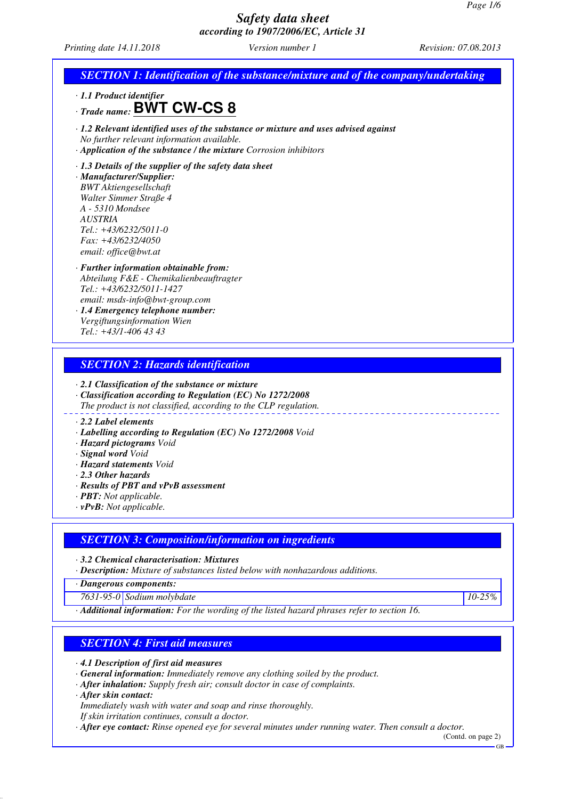*Printing date 14.11.2018 Version number 1 Revision: 07.08.2013*

### *SECTION 1: Identification of the substance/mixture and of the company/undertaking*

*· 1.1 Product identifier*

*· Trade name:* **BWT CW-CS 8**



### *· 1.3 Details of the supplier of the safety data sheet*

*· Manufacturer/Supplier: BWT Aktiengesellschaft Walter Simmer Straße 4 A - 5310 Mondsee AUSTRIA Tel.: +43/6232/5011-0 Fax: +43/6232/4050 email: office@bwt.at*

#### *· Further information obtainable from: Abteilung F&E - Chemikalienbeauftragter Tel.: +43/6232/5011-1427 email: msds-info@bwt-group.com*

*· 1.4 Emergency telephone number: Vergiftungsinformation Wien Tel.: +43/1-406 43 43*

### *SECTION 2: Hazards identification*

*· 2.1 Classification of the substance or mixture*

- *· Classification according to Regulation (EC) No 1272/2008*
- *The product is not classified, according to the CLP regulation.*

#### *· 2.2 Label elements*

- *· Labelling according to Regulation (EC) No 1272/2008 Void*
- *· Hazard pictograms Void*
- *· Signal word Void*
- *· Hazard statements Void*
- *· 2.3 Other hazards*
- *· Results of PBT and vPvB assessment*
- *· PBT: Not applicable.*
- *· vPvB: Not applicable.*

### *SECTION 3: Composition/information on ingredients*

*· 3.2 Chemical characterisation: Mixtures*

*· Description: Mixture of substances listed below with nonhazardous additions.*

*· Dangerous components:*

*7631-95-0 Sodium molybdate 10-25%*

*· Additional information: For the wording of the listed hazard phrases refer to section 16.*

### *SECTION 4: First aid measures*

*· 4.1 Description of first aid measures*

- *· General information: Immediately remove any clothing soiled by the product.*
- *· After inhalation: Supply fresh air; consult doctor in case of complaints.*

*· After skin contact:*

*Immediately wash with water and soap and rinse thoroughly.*

*If skin irritation continues, consult a doctor.*

*· After eye contact: Rinse opened eye for several minutes under running water. Then consult a doctor.*

(Contd. on page 2) GB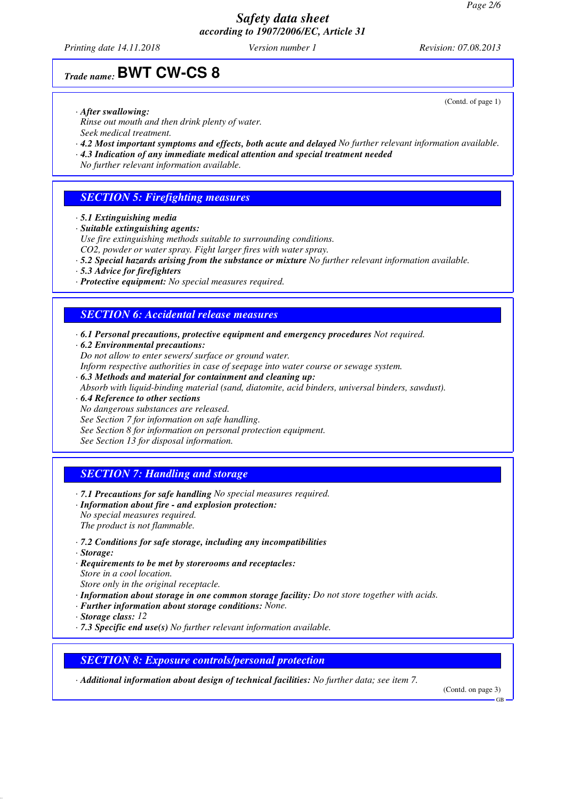*Printing date 14.11.2018 Version number 1 Revision: 07.08.2013*

(Contd. of page 1)

## *Trade name:* **BWT CW-CS 8**

*· After swallowing:*

*Rinse out mouth and then drink plenty of water. Seek medical treatment.*

- *· 4.2 Most important symptoms and effects, both acute and delayed No further relevant information available.*
- *· 4.3 Indication of any immediate medical attention and special treatment needed*
- *No further relevant information available.*

### *SECTION 5: Firefighting measures*

*· 5.1 Extinguishing media*

*· Suitable extinguishing agents:*

*Use fire extinguishing methods suitable to surrounding conditions.*

*CO2, powder or water spray. Fight larger fires with water spray.*

- *· 5.2 Special hazards arising from the substance or mixture No further relevant information available.*
- *· 5.3 Advice for firefighters*
- *· Protective equipment: No special measures required.*

### *SECTION 6: Accidental release measures*

- *· 6.1 Personal precautions, protective equipment and emergency procedures Not required.*
- *· 6.2 Environmental precautions:*
- *Do not allow to enter sewers/ surface or ground water.*
- *Inform respective authorities in case of seepage into water course or sewage system.*
- *· 6.3 Methods and material for containment and cleaning up:*
- *Absorb with liquid-binding material (sand, diatomite, acid binders, universal binders, sawdust).*
- *· 6.4 Reference to other sections*
- *No dangerous substances are released.*
- *See Section 7 for information on safe handling.*
- *See Section 8 for information on personal protection equipment.*

*See Section 13 for disposal information.*

### *SECTION 7: Handling and storage*

- *· 7.1 Precautions for safe handling No special measures required.*
- *· Information about fire and explosion protection: No special measures required. The product is not flammable.*
- *· 7.2 Conditions for safe storage, including any incompatibilities*
- *· Storage:*
- *· Requirements to be met by storerooms and receptacles:*
- *Store in a cool location. Store only in the original receptacle.*
- *· Information about storage in one common storage facility: Do not store together with acids.*
- *· Further information about storage conditions: None.*
- *· Storage class: 12*
- *· 7.3 Specific end use(s) No further relevant information available.*

### *SECTION 8: Exposure controls/personal protection*

*· Additional information about design of technical facilities: No further data; see item 7.*

(Contd. on page 3)

GB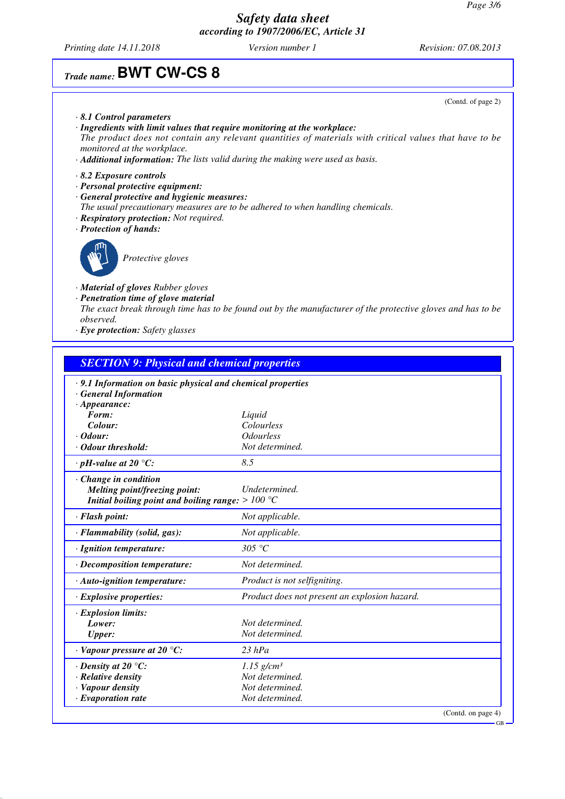GB

### *Safety data sheet according to 1907/2006/EC, Article 31*

*Printing date 14.11.2018 Version number 1 Revision: 07.08.2013*

# *Trade name:* **BWT CW-CS 8**

|                                                                                                                                                                                                                                                                                                                                                      | (Contd. of page 2) |
|------------------------------------------------------------------------------------------------------------------------------------------------------------------------------------------------------------------------------------------------------------------------------------------------------------------------------------------------------|--------------------|
| $\cdot$ 8.1 Control parameters<br>· Ingredients with limit values that require monitoring at the workplace:<br>The product does not contain any relevant quantities of materials with critical values that have to be<br>monitored at the workplace.<br>$\cdot$ <b>Additional information:</b> The lists valid during the making were used as basis. |                    |
| $\cdot$ 8.2 Exposure controls<br>$\cdot$ Personal protective equipment:<br>General protective and hygienic measures:<br>The usual precautionary measures are to be adhered to when handling chemicals.<br>· Respiratory protection: Not required.<br>· Protection of hands:                                                                          |                    |
| Protective gloves                                                                                                                                                                                                                                                                                                                                    |                    |
| · <b>Material of gloves</b> Rubber gloves<br>· Penetration time of glove material<br>The exact break through time has to be found out by the manufacturer of the protective gloves and has to be<br><i>observed.</i><br>· Eye protection: Safety glasses                                                                                             |                    |

| <b>SECTION 9: Physical and chemical properties</b>                |                                               |
|-------------------------------------------------------------------|-----------------------------------------------|
| $\cdot$ 9.1 Information on basic physical and chemical properties |                                               |
| · General Information                                             |                                               |
| $\cdot$ Appearance:                                               |                                               |
| Form:<br>Colour:                                                  | Liquid<br>Colourless                          |
| $\cdot$ Odour:                                                    | <i><u><b>Odourless</b></u></i>                |
| · Odour threshold:                                                | Not determined.                               |
| $\cdot$ pH-value at 20 °C:                                        | 8.5                                           |
| $\cdot$ Change in condition                                       |                                               |
| Melting point/freezing point:                                     | Undetermined.                                 |
| Initial boiling point and boiling range: $>100$ °C                |                                               |
| · Flash point:                                                    | Not applicable.                               |
| · Flammability (solid, gas):                                      | Not applicable.                               |
| · Ignition temperature:                                           | 305 °C                                        |
| · Decomposition temperature:                                      | Not determined.                               |
| $\cdot$ Auto-ignition temperature:                                | Product is not selfigniting.                  |
| · Explosive properties:                                           | Product does not present an explosion hazard. |
| · Explosion limits:                                               |                                               |
| Lower:                                                            | Not determined.                               |
| <b>Upper:</b>                                                     | Not determined.                               |
| $\cdot$ Vapour pressure at 20 $\degree$ C:                        | $23$ hPa                                      |
| $\cdot$ Density at 20 $\degree$ C:                                | $1.15$ g/cm <sup>3</sup>                      |
| · Relative density                                                | Not determined.                               |
| · Vapour density                                                  | Not determined.                               |
| $\cdot$ Evaporation rate                                          | Not determined.                               |
|                                                                   | (Contd. on page 4)                            |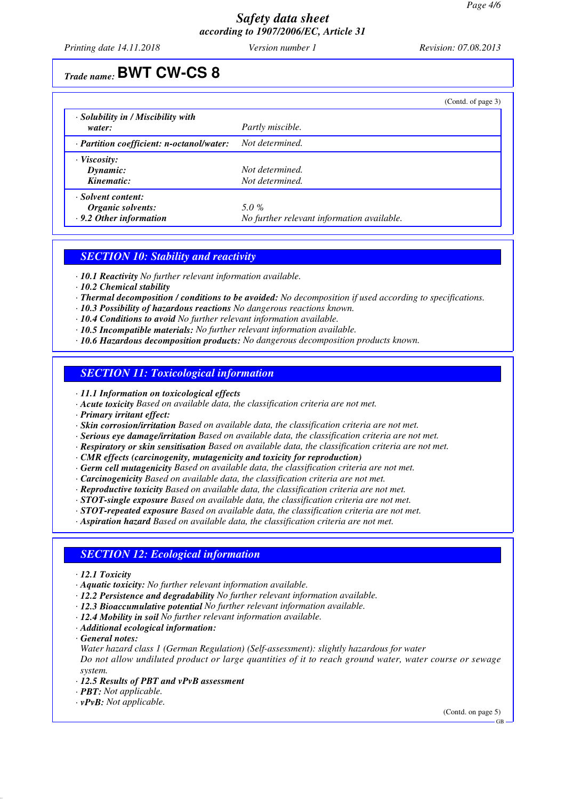*Printing date 14.11.2018 Version number 1 Revision: 07.08.2013*

# *Trade name:* **BWT CW-CS 8**

|                                                    |                                            | (Contd. of page 3) |
|----------------------------------------------------|--------------------------------------------|--------------------|
| $\cdot$ Solubility in / Miscibility with<br>water: | Partly miscible.                           |                    |
| $\cdot$ Partition coefficient: n-octanol/water:    | Not determined.                            |                    |
| $\cdot$ Viscosity:                                 |                                            |                    |
| Dynamic:                                           | Not determined.                            |                    |
| Kinematic:                                         | Not determined.                            |                    |
| · Solvent content:                                 |                                            |                    |
| Organic solvents:                                  | 5.0%                                       |                    |
| $\cdot$ 9.2 Other information                      | No further relevant information available. |                    |

### *SECTION 10: Stability and reactivity*

*· 10.1 Reactivity No further relevant information available.*

*· 10.2 Chemical stability*

*· Thermal decomposition / conditions to be avoided: No decomposition if used according to specifications.*

*· 10.3 Possibility of hazardous reactions No dangerous reactions known.*

*· 10.4 Conditions to avoid No further relevant information available.*

- *· 10.5 Incompatible materials: No further relevant information available.*
- *· 10.6 Hazardous decomposition products: No dangerous decomposition products known.*

### *SECTION 11: Toxicological information*

*· 11.1 Information on toxicological effects*

*· Acute toxicity Based on available data, the classification criteria are not met.*

*· Primary irritant effect:*

*· Skin corrosion/irritation Based on available data, the classification criteria are not met.*

*· Serious eye damage/irritation Based on available data, the classification criteria are not met.*

*· Respiratory or skin sensitisation Based on available data, the classification criteria are not met.*

*· CMR effects (carcinogenity, mutagenicity and toxicity for reproduction)*

*· Germ cell mutagenicity Based on available data, the classification criteria are not met.*

*· Carcinogenicity Based on available data, the classification criteria are not met.*

*· Reproductive toxicity Based on available data, the classification criteria are not met.*

*· STOT-single exposure Based on available data, the classification criteria are not met.*

*· STOT-repeated exposure Based on available data, the classification criteria are not met.*

*· Aspiration hazard Based on available data, the classification criteria are not met.*

### *SECTION 12: Ecological information*

*· 12.1 Toxicity*

- *· Aquatic toxicity: No further relevant information available.*
- *· 12.2 Persistence and degradability No further relevant information available.*
- *· 12.3 Bioaccumulative potential No further relevant information available.*
- *· 12.4 Mobility in soil No further relevant information available.*
- *· Additional ecological information:*
- *· General notes:*

*Water hazard class 1 (German Regulation) (Self-assessment): slightly hazardous for water Do not allow undiluted product or large quantities of it to reach ground water, water course or sewage system.*

- *· 12.5 Results of PBT and vPvB assessment*
- *· PBT: Not applicable.*

*· vPvB: Not applicable.*

(Contd. on page 5)

GB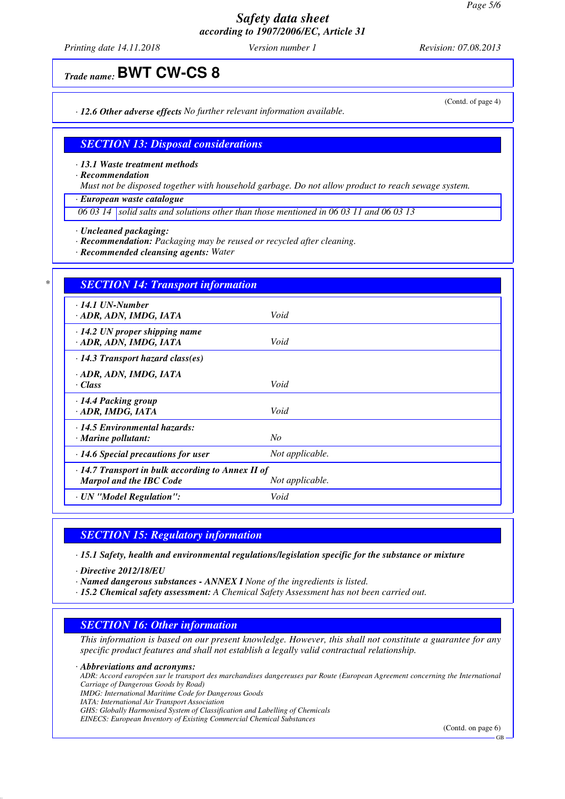*Printing date 14.11.2018 Version number 1 Revision: 07.08.2013*

## *Trade name:* **BWT CW-CS 8**

*· 12.6 Other adverse effects No further relevant information available.*

### *SECTION 13: Disposal considerations*

*· 13.1 Waste treatment methods*

*· Recommendation*

*Must not be disposed together with household garbage. Do not allow product to reach sewage system.*

*· European waste catalogue*

*06 03 14 solid salts and solutions other than those mentioned in 06 03 11 and 06 03 13*

- *· Uncleaned packaging:*
- *· Recommendation: Packaging may be reused or recycled after cleaning.*
- *· Recommended cleansing agents: Water*

| $\cdot$ 14.1 UN-Number                                  |                 |
|---------------------------------------------------------|-----------------|
| · ADR, ADN, IMDG, IATA                                  | Void            |
| $\cdot$ 14.2 UN proper shipping name                    |                 |
| · ADR, ADN, IMDG, IATA                                  | Void            |
| $\cdot$ 14.3 Transport hazard class(es)                 |                 |
| · ADR, ADN, IMDG, IATA                                  |                 |
| $\cdot$ Class                                           | Void            |
| · 14.4 Packing group                                    |                 |
| · ADR, IMDG, IATA                                       | Void            |
| $\cdot$ 14.5 Environmental hazards:                     |                 |
| $\cdot$ Marine pollutant:                               | No              |
| · 14.6 Special precautions for user                     | Not applicable. |
| $\cdot$ 14.7 Transport in bulk according to Annex II of |                 |
| Marpol and the IBC Code                                 | Not applicable. |

### *SECTION 15: Regulatory information*

*· 15.1 Safety, health and environmental regulations/legislation specific for the substance or mixture*

*· Directive 2012/18/EU*

*· Named dangerous substances - ANNEX I None of the ingredients is listed.*

*· 15.2 Chemical safety assessment: A Chemical Safety Assessment has not been carried out.*

### *SECTION 16: Other information*

*This information is based on our present knowledge. However, this shall not constitute a guarantee for any specific product features and shall not establish a legally valid contractual relationship.*

*· Abbreviations and acronyms:*

*ADR: Accord européen sur le transport des marchandises dangereuses par Route (European Agreement concerning the International Carriage of Dangerous Goods by Road)*

*IMDG: International Maritime Code for Dangerous Goods*

*IATA: International Air Transport Association*

*GHS: Globally Harmonised System of Classification and Labelling of Chemicals*

*EINECS: European Inventory of Existing Commercial Chemical Substances*

(Contd. on page 6)

(Contd. of page 4)

GB